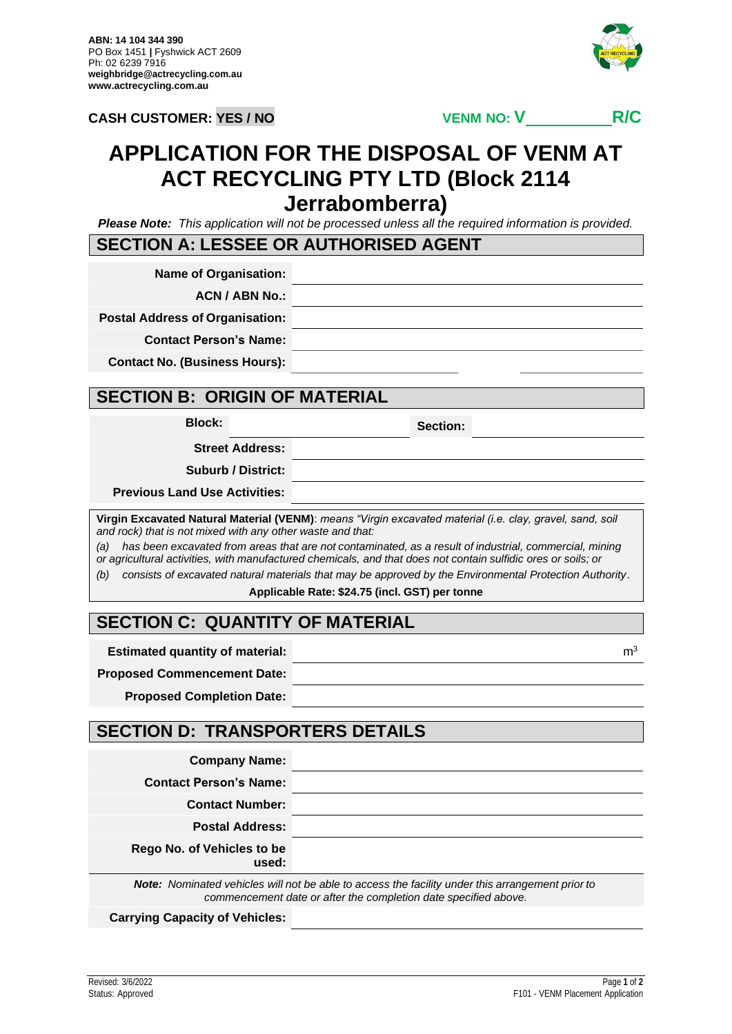

# **APPLICATION FOR THE DISPOSAL OF VENM AT ACT RECYCLING PTY LTD (Block 2114 Jerrabomberra)**

*Please Note: This application will not be processed unless all the required information is provided.*

#### **SECTION A: LESSEE OR AUTHORISED AGENT**

**Name of Organisation:**

**ACN / ABN No.:**

**Postal Address of Organisation:**

**Contact Person's Name:**

**Contact No. (Business Hours):**

#### **SECTION B: ORIGIN OF MATERIAL**

**Block: Section:**

**Street Address:**

**Suburb / District:**

**Previous Land Use Activities:**

**Virgin Excavated Natural Material (VENM)**: *means "Virgin excavated material (i.e. clay, gravel, sand, soil and rock) that is not mixed with any other waste and that:*

*(a) has been excavated from areas that are not contaminated, as a result of industrial, commercial, mining or agricultural activities, with manufactured chemicals, and that does not contain sulfidic ores or soils; or*

*(b) consists of excavated natural materials that may be approved by the Environmental Protection Authority.*

**Applicable Rate: \$24.75 (incl. GST) per tonne**

## **SECTION C: QUANTITY OF MATERIAL**

**Estimated quantity of material:** material: material: material: material: material: m3

**Proposed Commencement Date:**

**Proposed Completion Date:**

## **SECTION D: TRANSPORTERS DETAILS**

| <b>Company Name:</b>                       |  |
|--------------------------------------------|--|
| <b>Contact Person's Name:</b>              |  |
| <b>Contact Number:</b>                     |  |
| <b>Postal Address:</b>                     |  |
| <b>Rego No. of Vehicles to be</b><br>used: |  |

*Note: Nominated vehicles will not be able to access the facility under this arrangement prior to commencement date or after the completion date specified above.*

**Carrying Capacity of Vehicles:**